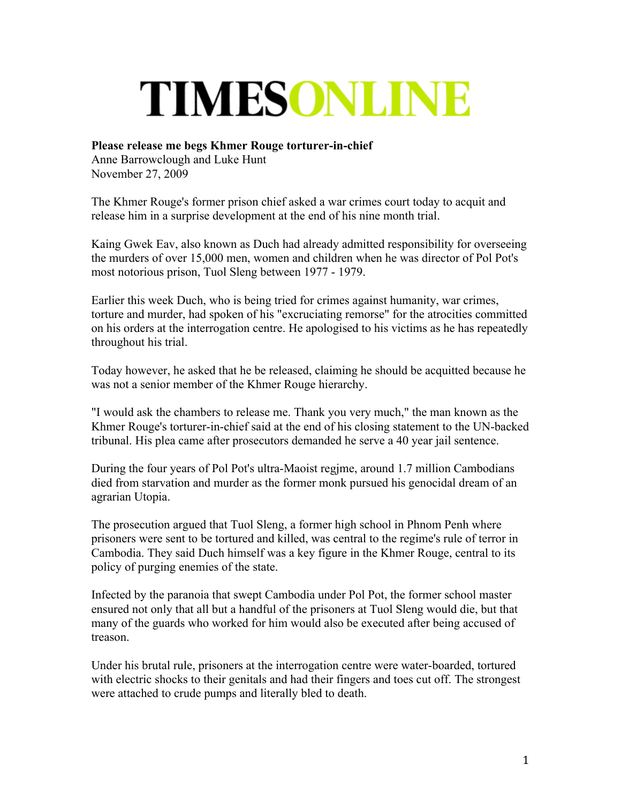## TIMESONLINE

## **Please release me begs Khmer Rouge torturer-in-chief**

Anne Barrowclough and Luke Hunt November 27, 2009

The Khmer Rouge's former prison chief asked a war crimes court today to acquit and release him in a surprise development at the end of his nine month trial.

Kaing Gwek Eav, also known as Duch had already admitted responsibility for overseeing the murders of over 15,000 men, women and children when he was director of Pol Pot's most notorious prison, Tuol Sleng between 1977 - 1979.

Earlier this week Duch, who is being tried for crimes against humanity, war crimes, torture and murder, had spoken of his "excruciating remorse" for the atrocities committed on his orders at the interrogation centre. He apologised to his victims as he has repeatedly throughout his trial.

Today however, he asked that he be released, claiming he should be acquitted because he was not a senior member of the Khmer Rouge hierarchy.

"I would ask the chambers to release me. Thank you very much," the man known as the Khmer Rouge's torturer-in-chief said at the end of his closing statement to the UN-backed tribunal. His plea came after prosecutors demanded he serve a 40 year jail sentence.

During the four years of Pol Pot's ultra-Maoist regjme, around 1.7 million Cambodians died from starvation and murder as the former monk pursued his genocidal dream of an agrarian Utopia.

The prosecution argued that Tuol Sleng, a former high school in Phnom Penh where prisoners were sent to be tortured and killed, was central to the regime's rule of terror in Cambodia. They said Duch himself was a key figure in the Khmer Rouge, central to its policy of purging enemies of the state.

Infected by the paranoia that swept Cambodia under Pol Pot, the former school master ensured not only that all but a handful of the prisoners at Tuol Sleng would die, but that many of the guards who worked for him would also be executed after being accused of treason.

Under his brutal rule, prisoners at the interrogation centre were water-boarded, tortured with electric shocks to their genitals and had their fingers and toes cut off. The strongest were attached to crude pumps and literally bled to death.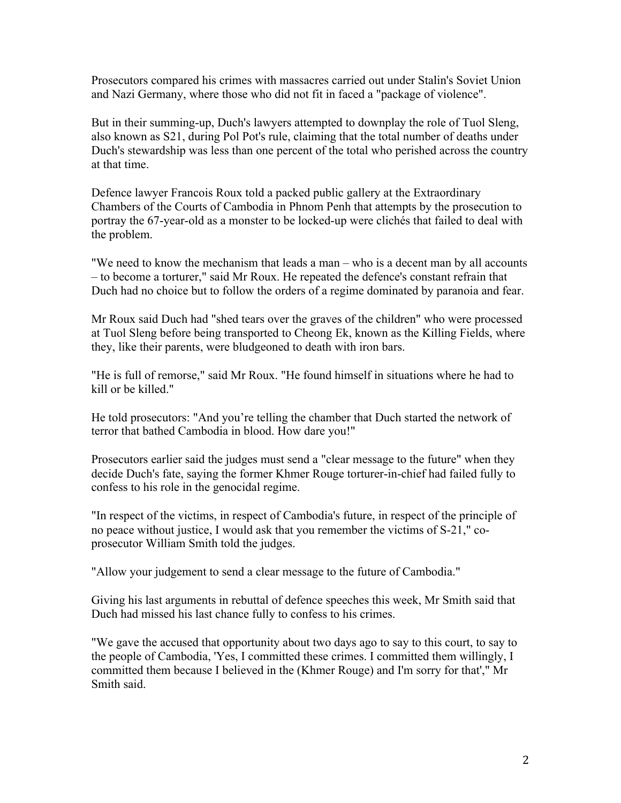Prosecutors compared his crimes with massacres carried out under Stalin's Soviet Union and Nazi Germany, where those who did not fit in faced a "package of violence".

But in their summing-up, Duch's lawyers attempted to downplay the role of Tuol Sleng, also known as S21, during Pol Pot's rule, claiming that the total number of deaths under Duch's stewardship was less than one percent of the total who perished across the country at that time.

Defence lawyer Francois Roux told a packed public gallery at the Extraordinary Chambers of the Courts of Cambodia in Phnom Penh that attempts by the prosecution to portray the 67-year-old as a monster to be locked-up were clichés that failed to deal with the problem.

"We need to know the mechanism that leads a man – who is a decent man by all accounts – to become a torturer," said Mr Roux. He repeated the defence's constant refrain that Duch had no choice but to follow the orders of a regime dominated by paranoia and fear.

Mr Roux said Duch had "shed tears over the graves of the children" who were processed at Tuol Sleng before being transported to Cheong Ek, known as the Killing Fields, where they, like their parents, were bludgeoned to death with iron bars.

"He is full of remorse," said Mr Roux. "He found himself in situations where he had to kill or be killed."

He told prosecutors: "And you're telling the chamber that Duch started the network of terror that bathed Cambodia in blood. How dare you!"

Prosecutors earlier said the judges must send a "clear message to the future" when they decide Duch's fate, saying the former Khmer Rouge torturer-in-chief had failed fully to confess to his role in the genocidal regime.

"In respect of the victims, in respect of Cambodia's future, in respect of the principle of no peace without justice, I would ask that you remember the victims of S-21," coprosecutor William Smith told the judges.

"Allow your judgement to send a clear message to the future of Cambodia."

Giving his last arguments in rebuttal of defence speeches this week, Mr Smith said that Duch had missed his last chance fully to confess to his crimes.

"We gave the accused that opportunity about two days ago to say to this court, to say to the people of Cambodia, 'Yes, I committed these crimes. I committed them willingly, I committed them because I believed in the (Khmer Rouge) and I'm sorry for that'," Mr Smith said.